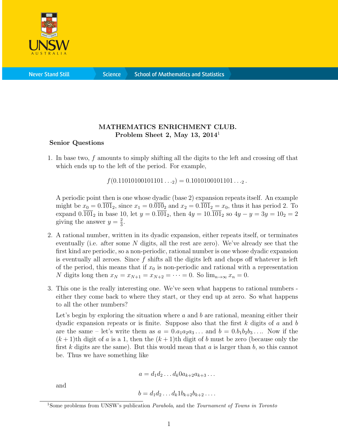

**Science** 

## MATHEMATICS ENRICHMENT CLUB. Problem Sheet 2, May 13,  $2014<sup>1</sup>$

## Senior Questions

1. In base two, f amounts to simply shifting all the digits to the left and crossing off that which ends up to the left of the period. For example,

 $f(0.11010100101101..._2) = 0.1010100101101..._2$ .

A periodic point then is one whose dyadic (base 2) expansion repeats itself. An example might be  $x_0 = 0.\overline{101}_2$ , since  $x_1 = 0.\overline{010}_2$  and  $x_2 = 0.\overline{101}_2 = x_0$ , thus it has period 2. To expand  $0.\overline{101}_2$  in base 10, let  $y = 0.\overline{101}_2$ , then  $4y = 10.\overline{101}_2$  so  $4y - y = 3y = 10_2 = 2$ giving the answer  $y = \frac{2}{3}$  $\frac{2}{3}$ .

- 2. A rational number, written in its dyadic expansion, either repeats itself, or terminates eventually (i.e. after some N digits, all the rest are zero). We've already see that the first kind are periodic, so a non-periodic, rational number is one whose dyadic expansion is eventually all zeroes. Since  $f$  shifts all the digits left and chops off whatever is left of the period, this means that if  $x_0$  is non-periodic and rational with a representation N digits long then  $x_N = x_{N+1} = x_{N+2} = \cdots = 0$ . So  $\lim_{n\to\infty} x_n = 0$ .
- 3. This one is the really interesting one. We've seen what happens to rational numbers either they come back to where they start, or they end up at zero. So what happens to all the other numbers?

Let's begin by exploring the situation where  $a$  and  $b$  are rational, meaning either their dyadic expansion repeats or is finite. Suppose also that the first  $k$  digits of  $a$  and  $b$ are the same – let's write them as  $a = 0.a_1a_2a_3...$  and  $b = 0.b_1b_2b_3...$  Now if the  $(k+1)$ th digit of a is a 1, then the  $(k+1)$ th digit of b must be zero (because only the first k digits are the same). But this would mean that  $a$  is larger than  $b$ , so this cannot be. Thus we have something like

$$
a = d_1 d_2 \dots d_k 0 a_{k+2} a_{k+3} \dots
$$

and

$$
b=d_1d_2\ldots d_k1b_{k+2}b_{k+2}\ldots
$$

<sup>&</sup>lt;sup>1</sup>Some problems from UNSW's publication *Parabola*, and the *Tournament of Towns in Toronto*